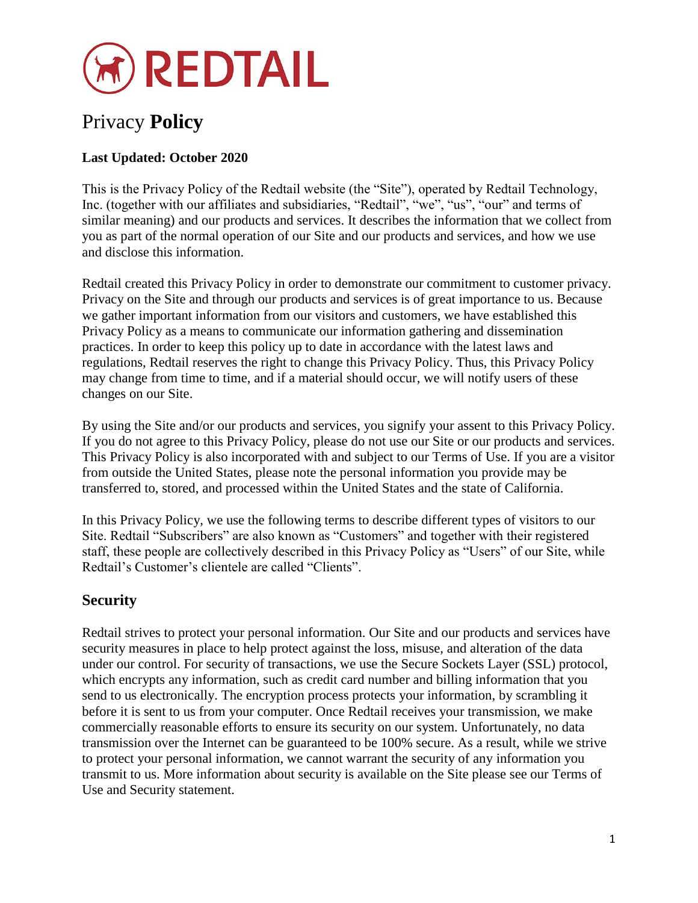

# Privacy **Policy**

### **Last Updated: October 2020**

This is the Privacy Policy of the Redtail website (the "Site"), operated by Redtail Technology, Inc. (together with our affiliates and subsidiaries, "Redtail", "we", "us", "our" and terms of similar meaning) and our products and services. It describes the information that we collect from you as part of the normal operation of our Site and our products and services, and how we use and disclose this information.

Redtail created this Privacy Policy in order to demonstrate our commitment to customer privacy. Privacy on the Site and through our products and services is of great importance to us. Because we gather important information from our visitors and customers, we have established this Privacy Policy as a means to communicate our information gathering and dissemination practices. In order to keep this policy up to date in accordance with the latest laws and regulations, Redtail reserves the right to change this Privacy Policy. Thus, this Privacy Policy may change from time to time, and if a material should occur, we will notify users of these changes on our Site.

By using the Site and/or our products and services, you signify your assent to this Privacy Policy. If you do not agree to this Privacy Policy, please do not use our Site or our products and services. This Privacy Policy is also incorporated with and subject to our Terms of Use. If you are a visitor from outside the United States, please note the personal information you provide may be transferred to, stored, and processed within the United States and the state of California.

In this Privacy Policy, we use the following terms to describe different types of visitors to our Site. Redtail "Subscribers" are also known as "Customers" and together with their registered staff, these people are collectively described in this Privacy Policy as "Users" of our Site, while Redtail's Customer's clientele are called "Clients".

# **Security**

Redtail strives to protect your personal information. Our Site and our products and services have security measures in place to help protect against the loss, misuse, and alteration of the data under our control. For security of transactions, we use the Secure Sockets Layer (SSL) protocol, which encrypts any information, such as credit card number and billing information that you send to us electronically. The encryption process protects your information, by scrambling it before it is sent to us from your computer. Once Redtail receives your transmission, we make commercially reasonable efforts to ensure its security on our system. Unfortunately, no data transmission over the Internet can be guaranteed to be 100% secure. As a result, while we strive to protect your personal information, we cannot warrant the security of any information you transmit to us. More information about security is available on the Site please see our Terms of Use and Security statement.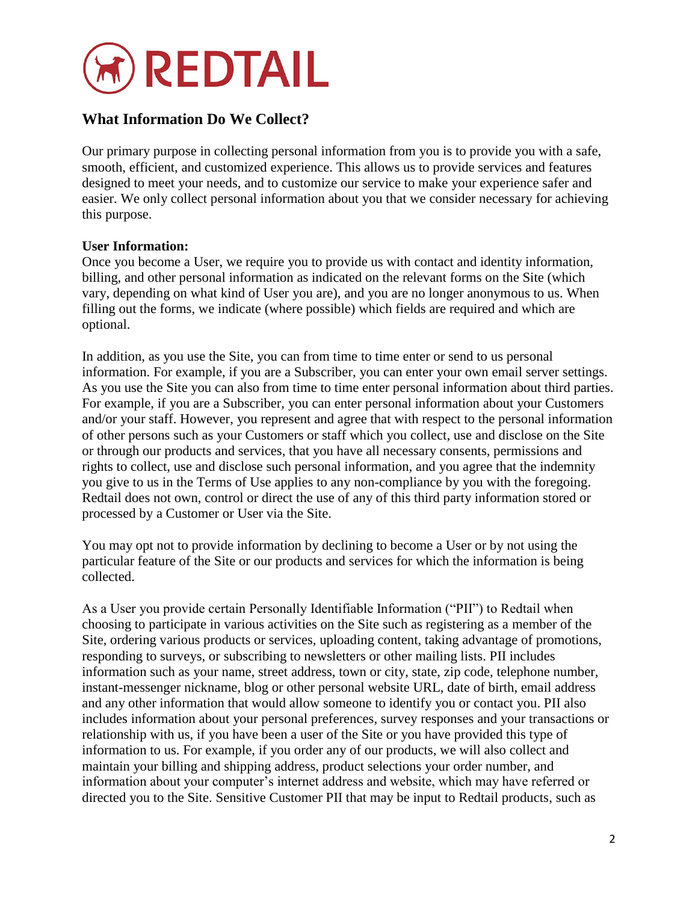

# **What Information Do We Collect?**

Our primary purpose in collecting personal information from you is to provide you with a safe, smooth, efficient, and customized experience. This allows us to provide services and features designed to meet your needs, and to customize our service to make your experience safer and easier. We only collect personal information about you that we consider necessary for achieving this purpose.

### **User Information:**

Once you become a User, we require you to provide us with contact and identity information, billing, and other personal information as indicated on the relevant forms on the Site (which vary, depending on what kind of User you are), and you are no longer anonymous to us. When filling out the forms, we indicate (where possible) which fields are required and which are optional.

In addition, as you use the Site, you can from time to time enter or send to us personal information. For example, if you are a Subscriber, you can enter your own email server settings. As you use the Site you can also from time to time enter personal information about third parties. For example, if you are a Subscriber, you can enter personal information about your Customers and/or your staff. However, you represent and agree that with respect to the personal information of other persons such as your Customers or staff which you collect, use and disclose on the Site or through our products and services, that you have all necessary consents, permissions and rights to collect, use and disclose such personal information, and you agree that the indemnity you give to us in the Terms of Use applies to any non-compliance by you with the foregoing. Redtail does not own, control or direct the use of any of this third party information stored or processed by a Customer or User via the Site.

You may opt not to provide information by declining to become a User or by not using the particular feature of the Site or our products and services for which the information is being collected.

As a User you provide certain Personally Identifiable Information ("PII") to Redtail when choosing to participate in various activities on the Site such as registering as a member of the Site, ordering various products or services, uploading content, taking advantage of promotions, responding to surveys, or subscribing to newsletters or other mailing lists. PII includes information such as your name, street address, town or city, state, zip code, telephone number, instant-messenger nickname, blog or other personal website URL, date of birth, email address and any other information that would allow someone to identify you or contact you. PII also includes information about your personal preferences, survey responses and your transactions or relationship with us, if you have been a user of the Site or you have provided this type of information to us. For example, if you order any of our products, we will also collect and maintain your billing and shipping address, product selections your order number, and information about your computer's internet address and website, which may have referred or directed you to the Site. Sensitive Customer PII that may be input to Redtail products, such as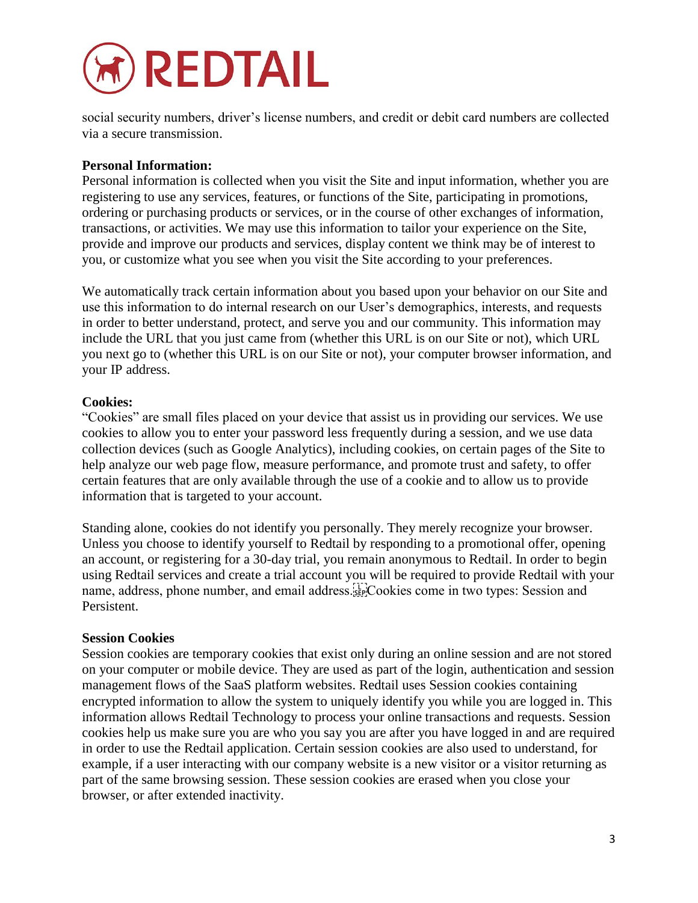

social security numbers, driver's license numbers, and credit or debit card numbers are collected via a secure transmission.

### **Personal Information:**

Personal information is collected when you visit the Site and input information, whether you are registering to use any services, features, or functions of the Site, participating in promotions, ordering or purchasing products or services, or in the course of other exchanges of information, transactions, or activities. We may use this information to tailor your experience on the Site, provide and improve our products and services, display content we think may be of interest to you, or customize what you see when you visit the Site according to your preferences.

We automatically track certain information about you based upon your behavior on our Site and use this information to do internal research on our User's demographics, interests, and requests in order to better understand, protect, and serve you and our community. This information may include the URL that you just came from (whether this URL is on our Site or not), which URL you next go to (whether this URL is on our Site or not), your computer browser information, and your IP address.

### **Cookies:**

"Cookies" are small files placed on your device that assist us in providing our services. We use cookies to allow you to enter your password less frequently during a session, and we use data collection devices (such as Google Analytics), including cookies, on certain pages of the Site to help analyze our web page flow, measure performance, and promote trust and safety, to offer certain features that are only available through the use of a cookie and to allow us to provide information that is targeted to your account.

Standing alone, cookies do not identify you personally. They merely recognize your browser. Unless you choose to identify yourself to Redtail by responding to a promotional offer, opening an account, or registering for a 30-day trial, you remain anonymous to Redtail. In order to begin using Redtail services and create a trial account you will be required to provide Redtail with your name, address, phone number, and email address.
Cookies come in two types: Session and Persistent.

#### **Session Cookies**

Session cookies are temporary cookies that exist only during an online session and are not stored on your computer or mobile device. They are used as part of the login, authentication and session management flows of the SaaS platform websites. Redtail uses Session cookies containing encrypted information to allow the system to uniquely identify you while you are logged in. This information allows Redtail Technology to process your online transactions and requests. Session cookies help us make sure you are who you say you are after you have logged in and are required in order to use the Redtail application. Certain session cookies are also used to understand, for example, if a user interacting with our company website is a new visitor or a visitor returning as part of the same browsing session. These session cookies are erased when you close your browser, or after extended inactivity.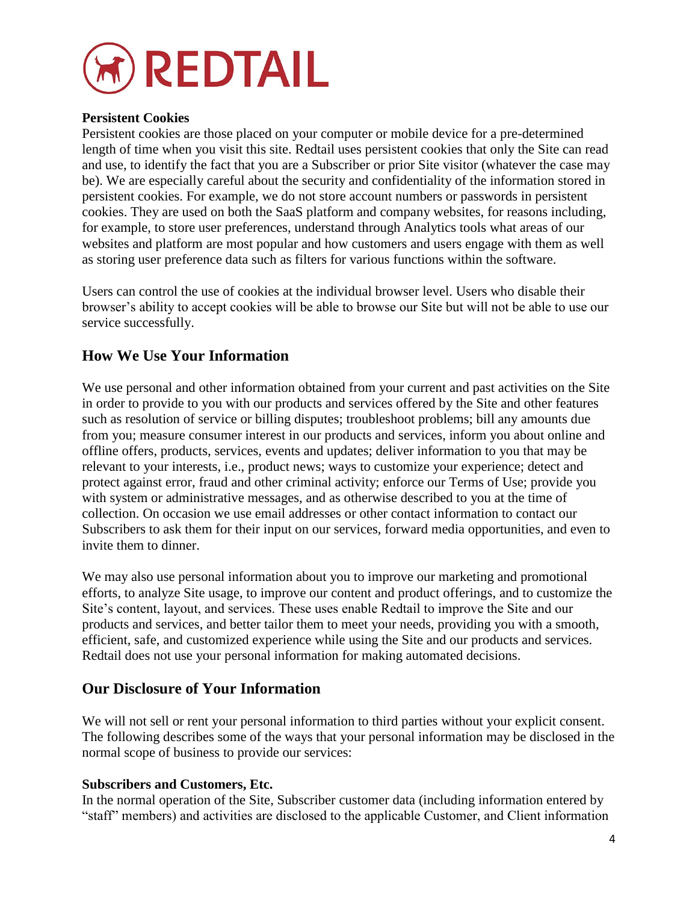

#### **Persistent Cookies**

Persistent cookies are those placed on your computer or mobile device for a pre-determined length of time when you visit this site. Redtail uses persistent cookies that only the Site can read and use, to identify the fact that you are a Subscriber or prior Site visitor (whatever the case may be). We are especially careful about the security and confidentiality of the information stored in persistent cookies. For example, we do not store account numbers or passwords in persistent cookies. They are used on both the SaaS platform and company websites, for reasons including, for example, to store user preferences, understand through Analytics tools what areas of our websites and platform are most popular and how customers and users engage with them as well as storing user preference data such as filters for various functions within the software.

Users can control the use of cookies at the individual browser level. Users who disable their browser's ability to accept cookies will be able to browse our Site but will not be able to use our service successfully.

### **How We Use Your Information**

We use personal and other information obtained from your current and past activities on the Site in order to provide to you with our products and services offered by the Site and other features such as resolution of service or billing disputes; troubleshoot problems; bill any amounts due from you; measure consumer interest in our products and services, inform you about online and offline offers, products, services, events and updates; deliver information to you that may be relevant to your interests, i.e., product news; ways to customize your experience; detect and protect against error, fraud and other criminal activity; enforce our Terms of Use; provide you with system or administrative messages, and as otherwise described to you at the time of collection. On occasion we use email addresses or other contact information to contact our Subscribers to ask them for their input on our services, forward media opportunities, and even to invite them to dinner.

We may also use personal information about you to improve our marketing and promotional efforts, to analyze Site usage, to improve our content and product offerings, and to customize the Site's content, layout, and services. These uses enable Redtail to improve the Site and our products and services, and better tailor them to meet your needs, providing you with a smooth, efficient, safe, and customized experience while using the Site and our products and services. Redtail does not use your personal information for making automated decisions.

### **Our Disclosure of Your Information**

We will not sell or rent your personal information to third parties without your explicit consent. The following describes some of the ways that your personal information may be disclosed in the normal scope of business to provide our services:

#### **Subscribers and Customers, Etc.**

In the normal operation of the Site, Subscriber customer data (including information entered by "staff" members) and activities are disclosed to the applicable Customer, and Client information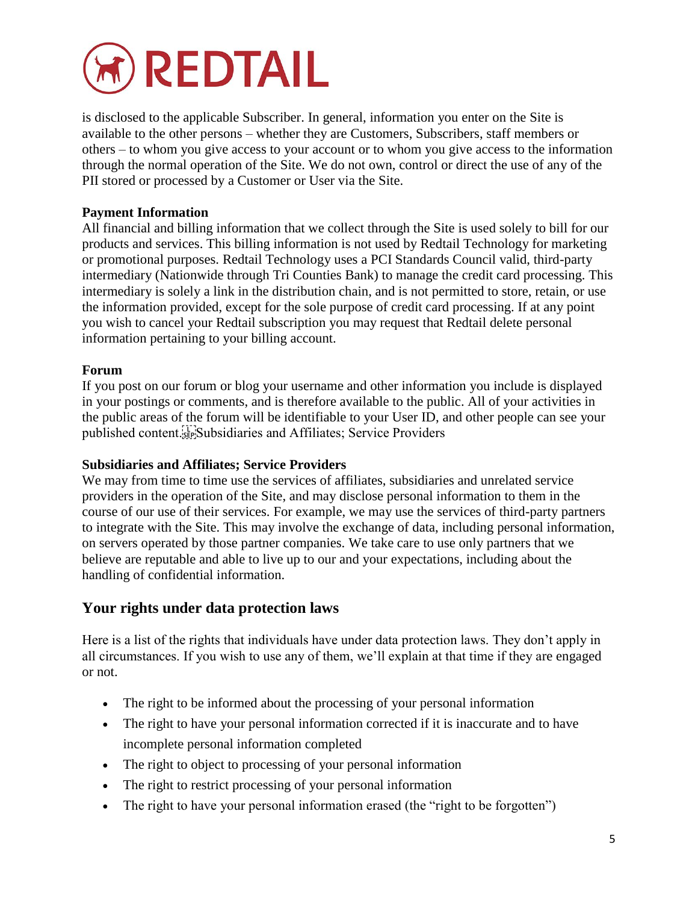

is disclosed to the applicable Subscriber. In general, information you enter on the Site is available to the other persons – whether they are Customers, Subscribers, staff members or others – to whom you give access to your account or to whom you give access to the information through the normal operation of the Site. We do not own, control or direct the use of any of the PII stored or processed by a Customer or User via the Site.

### **Payment Information**

All financial and billing information that we collect through the Site is used solely to bill for our products and services. This billing information is not used by Redtail Technology for marketing or promotional purposes. Redtail Technology uses a PCI Standards Council valid, third-party intermediary (Nationwide through Tri Counties Bank) to manage the credit card processing. This intermediary is solely a link in the distribution chain, and is not permitted to store, retain, or use the information provided, except for the sole purpose of credit card processing. If at any point you wish to cancel your Redtail subscription you may request that Redtail delete personal information pertaining to your billing account.

#### **Forum**

If you post on our forum or blog your username and other information you include is displayed in your postings or comments, and is therefore available to the public. All of your activities in the public areas of the forum will be identifiable to your User ID, and other people can see your published content.<sup>[17]</sup>Subsidiaries and Affiliates; Service Providers

#### **Subsidiaries and Affiliates; Service Providers**

We may from time to time use the services of affiliates, subsidiaries and unrelated service providers in the operation of the Site, and may disclose personal information to them in the course of our use of their services. For example, we may use the services of third-party partners to integrate with the Site. This may involve the exchange of data, including personal information, on servers operated by those partner companies. We take care to use only partners that we believe are reputable and able to live up to our and your expectations, including about the handling of confidential information.

# **Your rights under data protection laws**

Here is a list of the rights that individuals have under data protection laws. They don't apply in all circumstances. If you wish to use any of them, we'll explain at that time if they are engaged or not.

- The right to be informed about the processing of your personal information
- The right to have your personal information corrected if it is inaccurate and to have incomplete personal information completed
- The right to object to processing of your personal information
- The right to restrict processing of your personal information
- The right to have your personal information erased (the "right to be forgotten")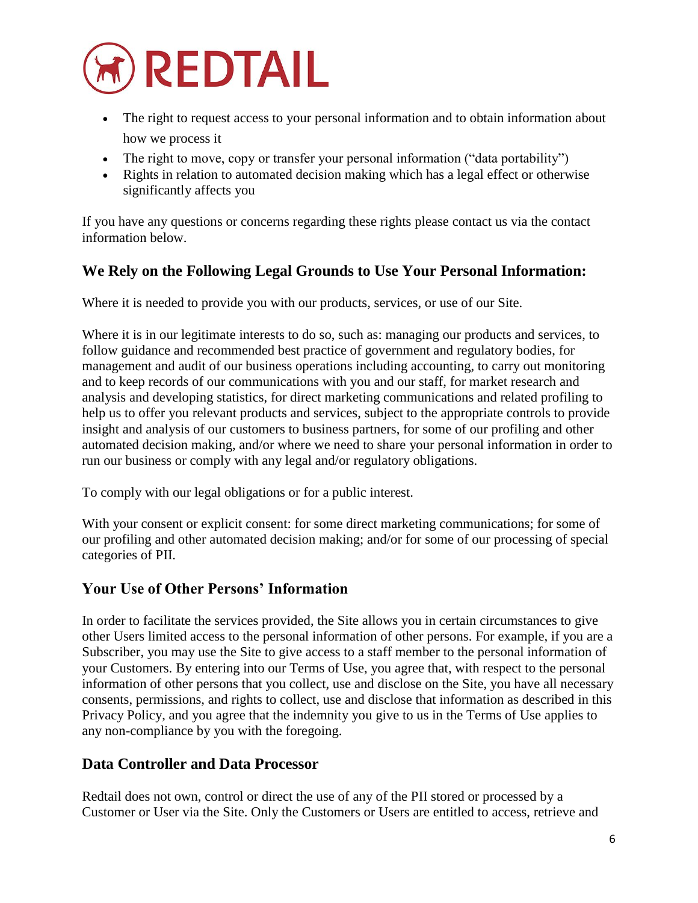

- The right to request access to your personal information and to obtain information about how we process it
- The right to move, copy or transfer your personal information ("data portability")
- Rights in relation to automated decision making which has a legal effect or otherwise significantly affects you

If you have any questions or concerns regarding these rights please contact us via the contact information below.

# **We Rely on the Following Legal Grounds to Use Your Personal Information:**

Where it is needed to provide you with our products, services, or use of our Site.

Where it is in our legitimate interests to do so, such as: managing our products and services, to follow guidance and recommended best practice of government and regulatory bodies, for management and audit of our business operations including accounting, to carry out monitoring and to keep records of our communications with you and our staff, for market research and analysis and developing statistics, for direct marketing communications and related profiling to help us to offer you relevant products and services, subject to the appropriate controls to provide insight and analysis of our customers to business partners, for some of our profiling and other automated decision making, and/or where we need to share your personal information in order to run our business or comply with any legal and/or regulatory obligations.

To comply with our legal obligations or for a public interest.

With your consent or explicit consent: for some direct marketing communications; for some of our profiling and other automated decision making; and/or for some of our processing of special categories of PII.

# **Your Use of Other Persons' Information**

In order to facilitate the services provided, the Site allows you in certain circumstances to give other Users limited access to the personal information of other persons. For example, if you are a Subscriber, you may use the Site to give access to a staff member to the personal information of your Customers. By entering into our Terms of Use, you agree that, with respect to the personal information of other persons that you collect, use and disclose on the Site, you have all necessary consents, permissions, and rights to collect, use and disclose that information as described in this Privacy Policy, and you agree that the indemnity you give to us in the Terms of Use applies to any non-compliance by you with the foregoing.

# **Data Controller and Data Processor**

Redtail does not own, control or direct the use of any of the PII stored or processed by a Customer or User via the Site. Only the Customers or Users are entitled to access, retrieve and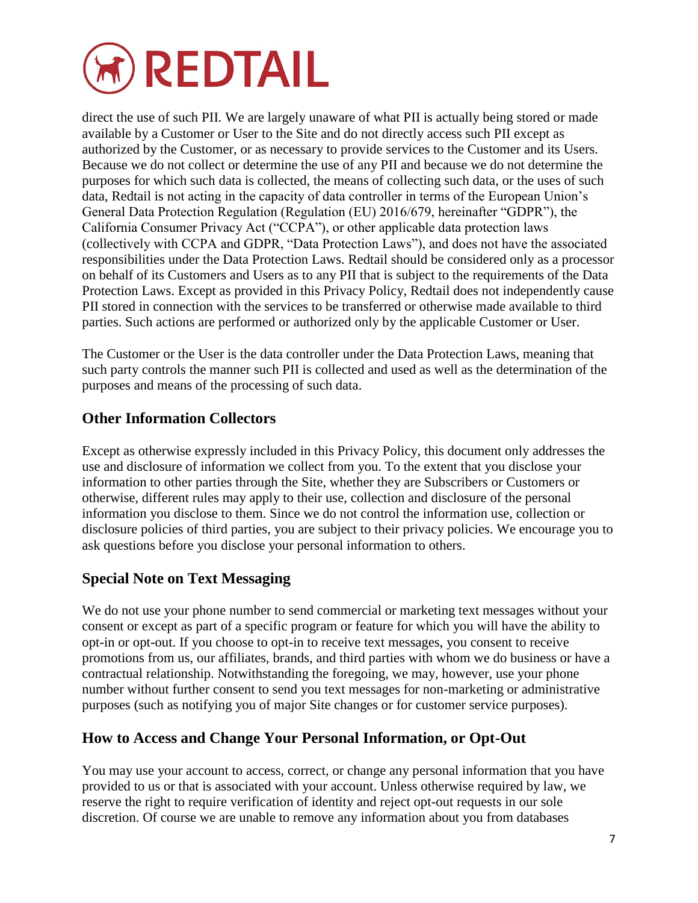

direct the use of such PII. We are largely unaware of what PII is actually being stored or made available by a Customer or User to the Site and do not directly access such PII except as authorized by the Customer, or as necessary to provide services to the Customer and its Users. Because we do not collect or determine the use of any PII and because we do not determine the purposes for which such data is collected, the means of collecting such data, or the uses of such data, Redtail is not acting in the capacity of data controller in terms of the European Union's General Data Protection Regulation (Regulation (EU) 2016/679, hereinafter "GDPR"), the California Consumer Privacy Act ("CCPA"), or other applicable data protection laws (collectively with CCPA and GDPR, "Data Protection Laws"), and does not have the associated responsibilities under the Data Protection Laws. Redtail should be considered only as a processor on behalf of its Customers and Users as to any PII that is subject to the requirements of the Data Protection Laws. Except as provided in this Privacy Policy, Redtail does not independently cause PII stored in connection with the services to be transferred or otherwise made available to third parties. Such actions are performed or authorized only by the applicable Customer or User.

The Customer or the User is the data controller under the Data Protection Laws, meaning that such party controls the manner such PII is collected and used as well as the determination of the purposes and means of the processing of such data.

# **Other Information Collectors**

Except as otherwise expressly included in this Privacy Policy, this document only addresses the use and disclosure of information we collect from you. To the extent that you disclose your information to other parties through the Site, whether they are Subscribers or Customers or otherwise, different rules may apply to their use, collection and disclosure of the personal information you disclose to them. Since we do not control the information use, collection or disclosure policies of third parties, you are subject to their privacy policies. We encourage you to ask questions before you disclose your personal information to others.

# **Special Note on Text Messaging**

We do not use your phone number to send commercial or marketing text messages without your consent or except as part of a specific program or feature for which you will have the ability to opt-in or opt-out. If you choose to opt-in to receive text messages, you consent to receive promotions from us, our affiliates, brands, and third parties with whom we do business or have a contractual relationship. Notwithstanding the foregoing, we may, however, use your phone number without further consent to send you text messages for non-marketing or administrative purposes (such as notifying you of major Site changes or for customer service purposes).

# **How to Access and Change Your Personal Information, or Opt-Out**

You may use your account to access, correct, or change any personal information that you have provided to us or that is associated with your account. Unless otherwise required by law, we reserve the right to require verification of identity and reject opt-out requests in our sole discretion. Of course we are unable to remove any information about you from databases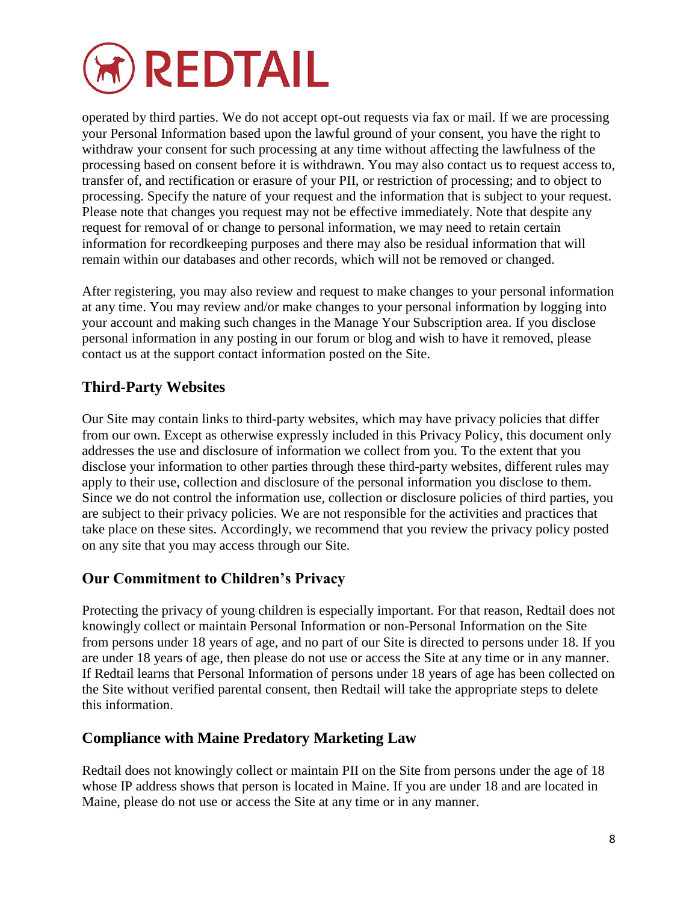

operated by third parties. We do not accept opt-out requests via fax or mail. If we are processing your Personal Information based upon the lawful ground of your consent, you have the right to withdraw your consent for such processing at any time without affecting the lawfulness of the processing based on consent before it is withdrawn. You may also contact us to request access to, transfer of, and rectification or erasure of your PII, or restriction of processing; and to object to processing. Specify the nature of your request and the information that is subject to your request. Please note that changes you request may not be effective immediately. Note that despite any request for removal of or change to personal information, we may need to retain certain information for recordkeeping purposes and there may also be residual information that will remain within our databases and other records, which will not be removed or changed.

After registering, you may also review and request to make changes to your personal information at any time. You may review and/or make changes to your personal information by logging into your account and making such changes in the Manage Your Subscription area. If you disclose personal information in any posting in our forum or blog and wish to have it removed, please contact us at the support contact information posted on the Site.

# **Third-Party Websites**

Our Site may contain links to third-party websites, which may have privacy policies that differ from our own. Except as otherwise expressly included in this Privacy Policy, this document only addresses the use and disclosure of information we collect from you. To the extent that you disclose your information to other parties through these third-party websites, different rules may apply to their use, collection and disclosure of the personal information you disclose to them. Since we do not control the information use, collection or disclosure policies of third parties, you are subject to their privacy policies. We are not responsible for the activities and practices that take place on these sites. Accordingly, we recommend that you review the privacy policy posted on any site that you may access through our Site.

# **Our Commitment to Children's Privacy**

Protecting the privacy of young children is especially important. For that reason, Redtail does not knowingly collect or maintain Personal Information or non-Personal Information on the Site from persons under 18 years of age, and no part of our Site is directed to persons under 18. If you are under 18 years of age, then please do not use or access the Site at any time or in any manner. If Redtail learns that Personal Information of persons under 18 years of age has been collected on the Site without verified parental consent, then Redtail will take the appropriate steps to delete this information.

# **Compliance with Maine Predatory Marketing Law**

Redtail does not knowingly collect or maintain PII on the Site from persons under the age of 18 whose IP address shows that person is located in Maine. If you are under 18 and are located in Maine, please do not use or access the Site at any time or in any manner.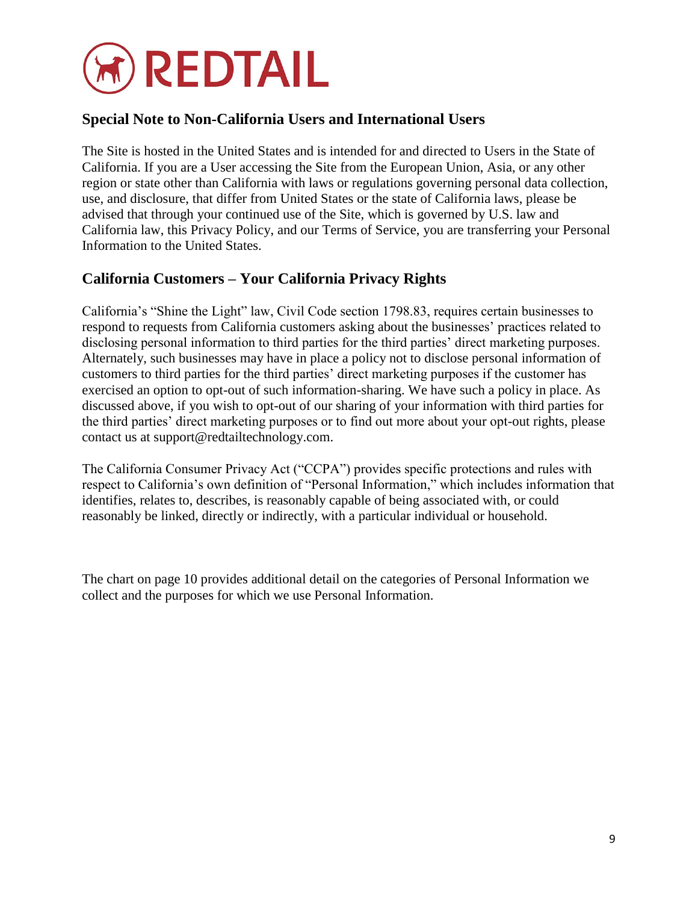

# **Special Note to Non-California Users and International Users**

The Site is hosted in the United States and is intended for and directed to Users in the State of California. If you are a User accessing the Site from the European Union, Asia, or any other region or state other than California with laws or regulations governing personal data collection, use, and disclosure, that differ from United States or the state of California laws, please be advised that through your continued use of the Site, which is governed by U.S. law and California law, this Privacy Policy, and our Terms of Service, you are transferring your Personal Information to the United States.

# **California Customers – Your California Privacy Rights**

California's "Shine the Light" law, Civil Code section 1798.83, requires certain businesses to respond to requests from California customers asking about the businesses' practices related to disclosing personal information to third parties for the third parties' direct marketing purposes. Alternately, such businesses may have in place a policy not to disclose personal information of customers to third parties for the third parties' direct marketing purposes if the customer has exercised an option to opt-out of such information-sharing. We have such a policy in place. As discussed above, if you wish to opt-out of our sharing of your information with third parties for the third parties' direct marketing purposes or to find out more about your opt-out rights, please contact us at support@redtailtechnology.com.

The California Consumer Privacy Act ("CCPA") provides specific protections and rules with respect to California's own definition of "Personal Information," which includes information that identifies, relates to, describes, is reasonably capable of being associated with, or could reasonably be linked, directly or indirectly, with a particular individual or household.

The chart on page 10 provides additional detail on the categories of Personal Information we collect and the purposes for which we use Personal Information.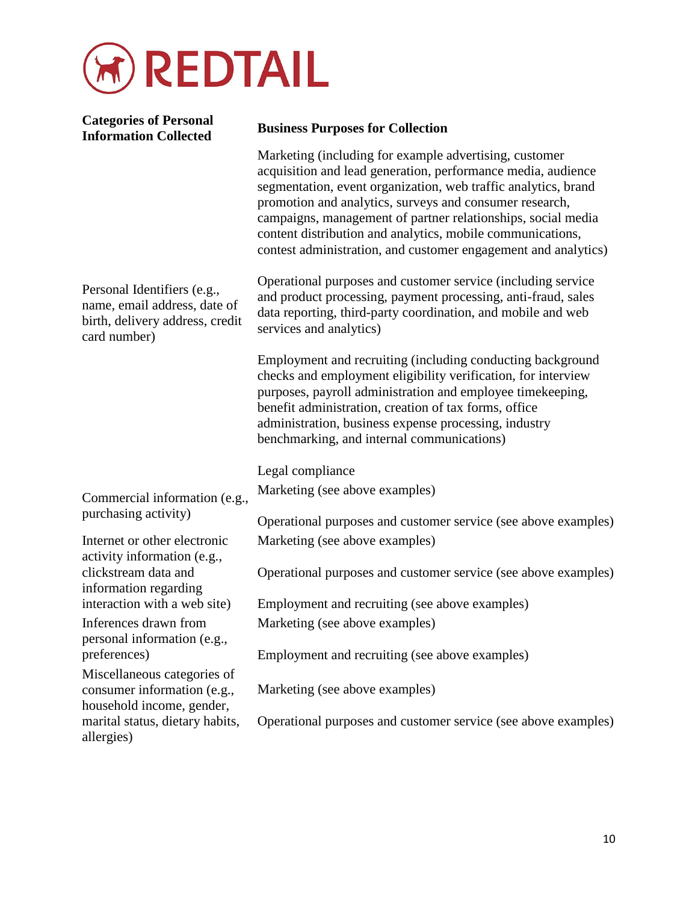

| <b>Categories of Personal</b><br><b>Information Collected</b>                                                  | <b>Business Purposes for Collection</b>                                                                                                                                                                                                                                                                                                                                                                                                             |
|----------------------------------------------------------------------------------------------------------------|-----------------------------------------------------------------------------------------------------------------------------------------------------------------------------------------------------------------------------------------------------------------------------------------------------------------------------------------------------------------------------------------------------------------------------------------------------|
| Personal Identifiers (e.g.,<br>name, email address, date of<br>birth, delivery address, credit<br>card number) | Marketing (including for example advertising, customer<br>acquisition and lead generation, performance media, audience<br>segmentation, event organization, web traffic analytics, brand<br>promotion and analytics, surveys and consumer research,<br>campaigns, management of partner relationships, social media<br>content distribution and analytics, mobile communications,<br>contest administration, and customer engagement and analytics) |
|                                                                                                                | Operational purposes and customer service (including service<br>and product processing, payment processing, anti-fraud, sales<br>data reporting, third-party coordination, and mobile and web<br>services and analytics)                                                                                                                                                                                                                            |
|                                                                                                                | Employment and recruiting (including conducting background<br>checks and employment eligibility verification, for interview<br>purposes, payroll administration and employee timekeeping,<br>benefit administration, creation of tax forms, office<br>administration, business expense processing, industry<br>benchmarking, and internal communications)                                                                                           |
|                                                                                                                | Legal compliance                                                                                                                                                                                                                                                                                                                                                                                                                                    |
| Commercial information (e.g.,<br>purchasing activity)                                                          | Marketing (see above examples)                                                                                                                                                                                                                                                                                                                                                                                                                      |
|                                                                                                                | Operational purposes and customer service (see above examples)                                                                                                                                                                                                                                                                                                                                                                                      |
| Internet or other electronic<br>activity information (e.g.,                                                    | Marketing (see above examples)                                                                                                                                                                                                                                                                                                                                                                                                                      |
| clickstream data and<br>information regarding                                                                  | Operational purposes and customer service (see above examples)                                                                                                                                                                                                                                                                                                                                                                                      |
| interaction with a web site)                                                                                   | Employment and recruiting (see above examples)                                                                                                                                                                                                                                                                                                                                                                                                      |
| Inferences drawn from<br>personal information (e.g.,                                                           | Marketing (see above examples)                                                                                                                                                                                                                                                                                                                                                                                                                      |
| preferences)                                                                                                   | Employment and recruiting (see above examples)                                                                                                                                                                                                                                                                                                                                                                                                      |
| Miscellaneous categories of<br>consumer information (e.g.,<br>household income, gender,                        | Marketing (see above examples)                                                                                                                                                                                                                                                                                                                                                                                                                      |
| marital status, dietary habits,<br>allergies)                                                                  | Operational purposes and customer service (see above examples)                                                                                                                                                                                                                                                                                                                                                                                      |